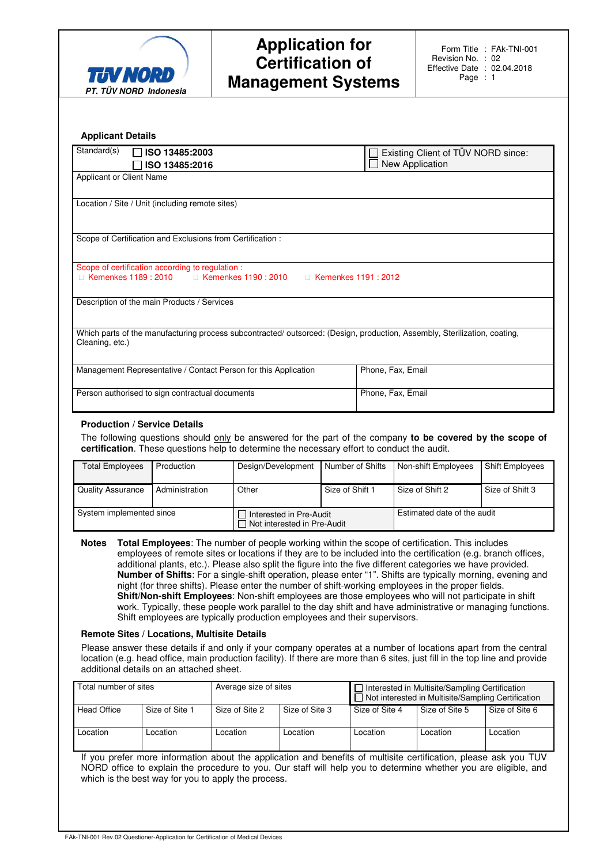

| Standard(s)<br>$\Box$ ISO 13485:2003                                                                                                         | Existing Client of TÜV NORD since:<br>New Application |
|----------------------------------------------------------------------------------------------------------------------------------------------|-------------------------------------------------------|
| ISO 13485:2016<br>Applicant or Client Name                                                                                                   |                                                       |
|                                                                                                                                              |                                                       |
| Location / Site / Unit (including remote sites)                                                                                              |                                                       |
|                                                                                                                                              |                                                       |
| Scope of Certification and Exclusions from Certification :                                                                                   |                                                       |
| Scope of certification according to regulation :                                                                                             |                                                       |
| Kemenkes 1189: 2010 Kemenkes 1190: 2010                                                                                                      | Kemenkes 1191 : 2012                                  |
| Description of the main Products / Services                                                                                                  |                                                       |
| Which parts of the manufacturing process subcontracted/ outsorced: (Design, production, Assembly, Sterilization, coating,<br>Cleaning, etc.) |                                                       |
|                                                                                                                                              |                                                       |
| Management Representative / Contact Person for this Application                                                                              | Phone, Fax, Email                                     |
|                                                                                                                                              |                                                       |

#### **Production / Service Details**

The following questions should only be answered for the part of the company **to be covered by the scope of certification**. These questions help to determine the necessary effort to conduct the audit.

| <b>Total Employees</b>   | Production     | Design/Development                                       | Number of Shifts | Non-shift Employees         | <b>Shift Employees</b> |
|--------------------------|----------------|----------------------------------------------------------|------------------|-----------------------------|------------------------|
| <b>Quality Assurance</b> | Administration | Other                                                    | Size of Shift 1  | Size of Shift 2             | Size of Shift 3        |
| System implemented since |                | Interested in Pre-Audit<br>□ Not interested in Pre-Audit |                  | Estimated date of the audit |                        |

**Notes Total Employees**: The number of people working within the scope of certification. This includes employees of remote sites or locations if they are to be included into the certification (e.g. branch offices, additional plants, etc.). Please also split the figure into the five different categories we have provided. **Number of Shifts**: For a single-shift operation, please enter "1". Shifts are typically morning, evening and night (for three shifts). Please enter the number of shift-working employees in the proper fields. **Shift/Non-shift Employees**: Non-shift employees are those employees who will not participate in shift work. Typically, these people work parallel to the day shift and have administrative or managing functions. Shift employees are typically production employees and their supervisors.

#### **Remote Sites / Locations, Multisite Details**

Please answer these details if and only if your company operates at a number of locations apart from the central location (e.g. head office, main production facility). If there are more than 6 sites, just fill in the top line and provide additional details on an attached sheet.

| Total number of sites |                | Average size of sites |                | $\Box$ Interested in Multisite/Sampling Certification<br>$\Box$ Not interested in Multisite/Sampling Certification |                |                |
|-----------------------|----------------|-----------------------|----------------|--------------------------------------------------------------------------------------------------------------------|----------------|----------------|
| <b>Head Office</b>    | Size of Site 1 | Size of Site 2        | Size of Site 3 | Size of Site 4                                                                                                     | Size of Site 5 | Size of Site 6 |
| ∟ocation              | Location       | ∟ocation              | Location       | Location                                                                                                           | Location       | Location       |

If you prefer more information about the application and benefits of multisite certification, please ask you TUV NORD office to explain the procedure to you. Our staff will help you to determine whether you are eligible, and which is the best way for you to apply the process.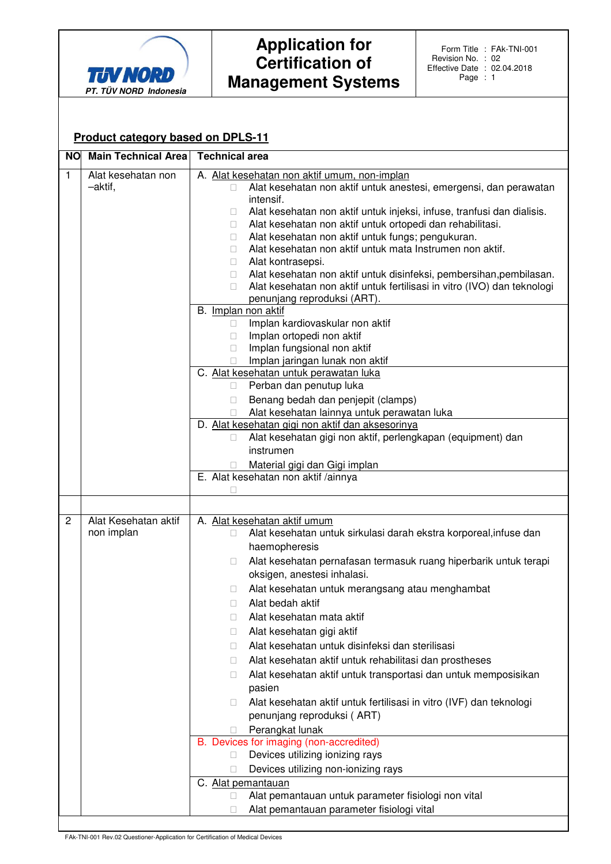

### **Product category based on DPLS-11**

| <b>NO</b>    | <b>Main Technical Area</b>         | <b>Technical area</b>                                                                                                                                                                                                                                                                                                                                                                                                                                                                                                                                                                                                                                                                                                                                                                        |
|--------------|------------------------------------|----------------------------------------------------------------------------------------------------------------------------------------------------------------------------------------------------------------------------------------------------------------------------------------------------------------------------------------------------------------------------------------------------------------------------------------------------------------------------------------------------------------------------------------------------------------------------------------------------------------------------------------------------------------------------------------------------------------------------------------------------------------------------------------------|
| $\mathbf{1}$ | Alat kesehatan non<br>-aktif,      | A. Alat kesehatan non aktif umum, non-implan<br>Alat kesehatan non aktif untuk anestesi, emergensi, dan perawatan<br>intensif.<br>Alat kesehatan non aktif untuk injeksi, infuse, tranfusi dan dialisis.<br>Alat kesehatan non aktif untuk ortopedi dan rehabilitasi.<br>Alat kesehatan non aktif untuk fungs; pengukuran.<br>Alat kesehatan non aktif untuk mata Instrumen non aktif.<br>Alat kontrasepsi.<br>Alat kesehatan non aktif untuk disinfeksi, pembersihan, pembilasan.<br>Alat kesehatan non aktif untuk fertilisasi in vitro (IVO) dan teknologi<br>penunjang reproduksi (ART).                                                                                                                                                                                                 |
|              |                                    | B. Implan non aktif<br>Implan kardiovaskular non aktif<br>Implan ortopedi non aktif<br>Implan fungsional non aktif<br>Implan jaringan lunak non aktif                                                                                                                                                                                                                                                                                                                                                                                                                                                                                                                                                                                                                                        |
|              |                                    | C. Alat kesehatan untuk perawatan luka<br>Perban dan penutup luka<br>Benang bedah dan penjepit (clamps)<br>Alat kesehatan lainnya untuk perawatan luka                                                                                                                                                                                                                                                                                                                                                                                                                                                                                                                                                                                                                                       |
|              |                                    | D. Alat kesehatan gigi non aktif dan aksesorinya<br>Alat kesehatan gigi non aktif, perlengkapan (equipment) dan<br>instrumen<br>Material gigi dan Gigi implan                                                                                                                                                                                                                                                                                                                                                                                                                                                                                                                                                                                                                                |
|              |                                    | E. Alat kesehatan non aktif /ainnya                                                                                                                                                                                                                                                                                                                                                                                                                                                                                                                                                                                                                                                                                                                                                          |
|              |                                    |                                                                                                                                                                                                                                                                                                                                                                                                                                                                                                                                                                                                                                                                                                                                                                                              |
| $\mathbf{2}$ | Alat Kesehatan aktif<br>non implan | A. Alat kesehatan aktif umum<br>Alat kesehatan untuk sirkulasi darah ekstra korporeal, infuse dan<br>haemopheresis<br>Alat kesehatan pernafasan termasuk ruang hiperbarik untuk terapi<br>oksigen, anestesi inhalasi.<br>Alat kesehatan untuk merangsang atau menghambat<br>Alat bedah aktif<br>Alat kesehatan mata aktif<br>Alat kesehatan gigi aktif<br>Alat kesehatan untuk disinfeksi dan sterilisasi<br>Alat kesehatan aktif untuk rehabilitasi dan prostheses<br>Alat kesehatan aktif untuk transportasi dan untuk memposisikan<br>pasien<br>Alat kesehatan aktif untuk fertilisasi in vitro (IVF) dan teknologi<br>penunjang reproduksi (ART)<br>Perangkat lunak<br>B. Devices for imaging (non-accredited)<br>Devices utilizing ionizing rays<br>Devices utilizing non-ionizing rays |
|              |                                    | C. Alat pemantauan<br>Alat pemantauan untuk parameter fisiologi non vital<br>Alat pemantauan parameter fisiologi vital                                                                                                                                                                                                                                                                                                                                                                                                                                                                                                                                                                                                                                                                       |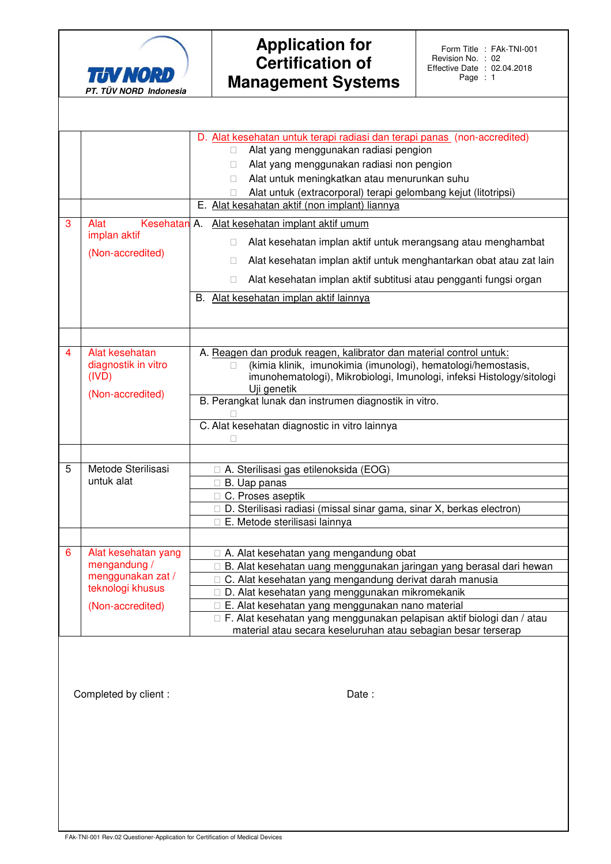

| 3 | Alat<br>Kesehatan<br>implan aktif<br>(Non-accredited)                                            | D. Alat kesehatan untuk terapi radiasi dan terapi panas (non-accredited)<br>Alat yang menggunakan radiasi pengion<br>Alat yang menggunakan radiasi non pengion<br>Alat untuk meningkatkan atau menurunkan suhu<br>Alat untuk (extracorporal) terapi gelombang kejut (litotripsi)<br>E. Alat kesahatan aktif (non implant) liannya<br>A.<br>Alat kesehatan implant aktif umum<br>Alat kesehatan implan aktif untuk merangsang atau menghambat<br>Alat kesehatan implan aktif untuk menghantarkan obat atau zat lain<br>Alat kesehatan implan aktif subtitusi atau pengganti fungsi organ<br>B. Alat kesehatan implan aktif lainnya |
|---|--------------------------------------------------------------------------------------------------|-----------------------------------------------------------------------------------------------------------------------------------------------------------------------------------------------------------------------------------------------------------------------------------------------------------------------------------------------------------------------------------------------------------------------------------------------------------------------------------------------------------------------------------------------------------------------------------------------------------------------------------|
| 4 | Alat kesehatan<br>diagnostik in vitro<br>(IVD)<br>(Non-accredited)                               | A. Reagen dan produk reagen, kalibrator dan material control untuk:<br>(kimia klinik, imunokimia (imunologi), hematologi/hemostasis,<br>imunohematologi), Mikrobiologi, Imunologi, infeksi Histology/sitologi<br>Uji genetik<br>B. Perangkat lunak dan instrumen diagnostik in vitro.<br>C. Alat kesehatan diagnostic in vitro lainnya                                                                                                                                                                                                                                                                                            |
| 5 | Metode Sterilisasi<br>untuk alat                                                                 | A. Sterilisasi gas etilenoksida (EOG)<br>B. Uap panas<br>C. Proses aseptik<br>D. Sterilisasi radiasi (missal sinar gama, sinar X, berkas electron)<br>E. Metode sterilisasi lainnya                                                                                                                                                                                                                                                                                                                                                                                                                                               |
| 6 | Alat kesehatan yang<br>mengandung /<br>menggunakan zat /<br>teknologi khusus<br>(Non-accredited) | A. Alat kesehatan yang mengandung obat<br>B. Alat kesehatan uang menggunakan jaringan yang berasal dari hewan<br>C. Alat kesehatan yang mengandung derivat darah manusia<br>D. Alat kesehatan yang menggunakan mikromekanik<br>E. Alat kesehatan yang menggunakan nano material<br>F. Alat kesehatan yang menggunakan pelapisan aktif biologi dan / atau<br>material atau secara keseluruhan atau sebagian besar terserap                                                                                                                                                                                                         |

Completed by client :  $\qquad \qquad$  Date :